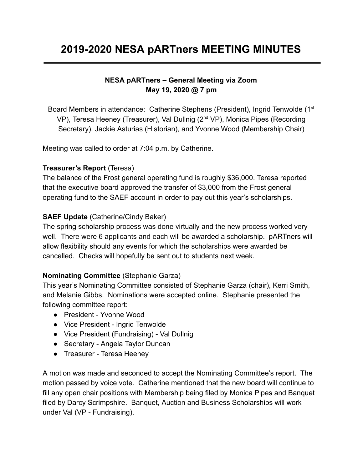# **2019-2020 NESA pARTners MEETING MINUTES**

## **NESA pARTners – General Meeting via Zoom May 19, 2020 @ 7 pm**

Board Members in attendance: Catherine Stephens (President), Ingrid Tenwolde (1<sup>st</sup> VP), Teresa Heeney (Treasurer), Val Dullnig (2<sup>nd</sup> VP), Monica Pipes (Recording Secretary), Jackie Asturias (Historian), and Yvonne Wood (Membership Chair)

Meeting was called to order at 7:04 p.m. by Catherine.

#### **Treasurer's Report** (Teresa)

The balance of the Frost general operating fund is roughly \$36,000. Teresa reported that the executive board approved the transfer of \$3,000 from the Frost general operating fund to the SAEF account in order to pay out this year's scholarships.

### **SAEF Update** (Catherine/Cindy Baker)

The spring scholarship process was done virtually and the new process worked very well. There were 6 applicants and each will be awarded a scholarship. pARTners will allow flexibility should any events for which the scholarships were awarded be cancelled. Checks will hopefully be sent out to students next week.

### **Nominating Committee** (Stephanie Garza)

This year's Nominating Committee consisted of Stephanie Garza (chair), Kerri Smith, and Melanie Gibbs. Nominations were accepted online. Stephanie presented the following committee report:

- President Yvonne Wood
- Vice President Ingrid Tenwolde
- Vice President (Fundraising) Val Dullnig
- Secretary Angela Taylor Duncan
- Treasurer Teresa Heeney

A motion was made and seconded to accept the Nominating Committee's report. The motion passed by voice vote. Catherine mentioned that the new board will continue to fill any open chair positions with Membership being filed by Monica Pipes and Banquet filed by Darcy Scrimpshire. Banquet, Auction and Business Scholarships will work under Val (VP - Fundraising).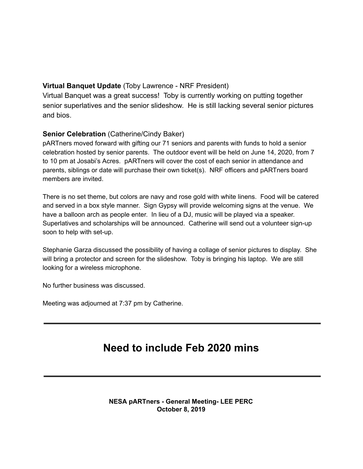#### **Virtual Banquet Update** (Toby Lawrence - NRF President)

Virtual Banquet was a great success! Toby is currently working on putting together senior superlatives and the senior slideshow. He is still lacking several senior pictures and bios.

#### **Senior Celebration** (Catherine/Cindy Baker)

pARTners moved forward with gifting our 71 seniors and parents with funds to hold a senior celebration hosted by senior parents. The outdoor event will be held on June 14, 2020, from 7 to 10 pm at Josabi's Acres. pARTners will cover the cost of each senior in attendance and parents, siblings or date will purchase their own ticket(s). NRF officers and pARTners board members are invited.

There is no set theme, but colors are navy and rose gold with white linens. Food will be catered and served in a box style manner. Sign Gypsy will provide welcoming signs at the venue. We have a balloon arch as people enter. In lieu of a DJ, music will be played via a speaker. Superlatives and scholarships will be announced. Catherine will send out a volunteer sign-up soon to help with set-up.

Stephanie Garza discussed the possibility of having a collage of senior pictures to display. She will bring a protector and screen for the slideshow. Toby is bringing his laptop. We are still looking for a wireless microphone.

No further business was discussed.

Meeting was adjourned at 7:37 pm by Catherine.

## **Need to include Feb 2020 mins**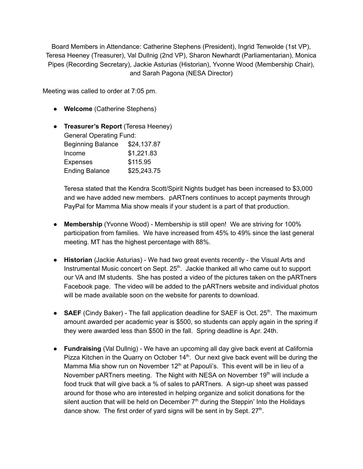Board Members in Attendance: Catherine Stephens (President), Ingrid Tenwolde (1st VP), Teresa Heeney (Treasurer), Val Dullnig (2nd VP), Sharon Newhardt (Parliamentarian), Monica Pipes (Recording Secretary), Jackie Asturias (Historian), Yvonne Wood (Membership Chair), and Sarah Pagona (NESA Director)

Meeting was called to order at 7:05 pm.

- **Welcome** (Catherine Stephens)
- **Treasurer's Report** (Teresa Heeney) General Operating Fund: Beginning Balance \$24,137.87 Income \$1,221.83 Expenses \$115.95 Ending Balance \$25,243.75

Teresa stated that the Kendra Scott/Spirit Nights budget has been increased to \$3,000 and we have added new members. pARTners continues to accept payments through PayPal for Mamma Mia show meals if your student is a part of that production.

- **Membership** (Yvonne Wood) Membership is still open! We are striving for 100% participation from families. We have increased from 45% to 49% since the last general meeting. MT has the highest percentage with 88%.
- **Historian** (Jackie Asturias) We had two great events recently the Visual Arts and Instrumental Music concert on Sept. 25<sup>th</sup>. Jackie thanked all who came out to support our VA and IM students. She has posted a video of the pictures taken on the pARTners Facebook page. The video will be added to the pARTners website and individual photos will be made available soon on the website for parents to download.
- **SAEF** (Cindy Baker) The fall application deadline for SAEF is Oct. 25<sup>th</sup>. The maximum amount awarded per academic year is \$500, so students can apply again in the spring if they were awarded less than \$500 in the fall. Spring deadline is Apr. 24th.
- **Fundraising** (Val Dullnig) We have an upcoming all day give back event at California Pizza Kitchen in the Quarry on October  $14<sup>th</sup>$ . Our next give back event will be during the Mamma Mia show run on November 12<sup>th</sup> at Papouli's. This event will be in lieu of a November pARTners meeting. The Night with NESA on November 19<sup>th</sup> will include a food truck that will give back a % of sales to pARTners. A sign-up sheet was passed around for those who are interested in helping organize and solicit donations for the silent auction that will be held on December  $7<sup>th</sup>$  during the Steppin' Into the Holidays dance show. The first order of yard signs will be sent in by Sept. 27<sup>th</sup>.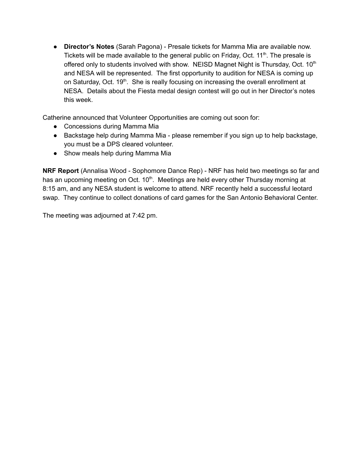● **Director's Notes** (Sarah Pagona) - Presale tickets for Mamma Mia are available now. Tickets will be made available to the general public on Friday, Oct. 11<sup>th</sup>. The presale is offered only to students involved with show. NEISD Magnet Night is Thursday, Oct. 10<sup>th</sup> and NESA will be represented. The first opportunity to audition for NESA is coming up on Saturday, Oct. 19<sup>th</sup>. She is really focusing on increasing the overall enrollment at NESA. Details about the Fiesta medal design contest will go out in her Director's notes this week.

Catherine announced that Volunteer Opportunities are coming out soon for:

- Concessions during Mamma Mia
- Backstage help during Mamma Mia please remember if you sign up to help backstage, you must be a DPS cleared volunteer.
- Show meals help during Mamma Mia

**NRF Report** (Annalisa Wood - Sophomore Dance Rep) - NRF has held two meetings so far and has an upcoming meeting on Oct. 10<sup>th</sup>. Meetings are held every other Thursday morning at 8:15 am, and any NESA student is welcome to attend. NRF recently held a successful leotard swap. They continue to collect donations of card games for the San Antonio Behavioral Center.

The meeting was adjourned at 7:42 pm.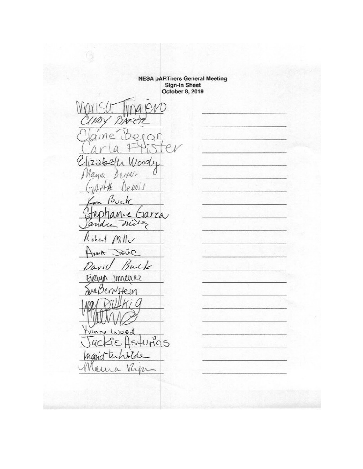**NESA pARTners General Meeting<br>Sign-In Sheet<br>October 8, 2019** 

Bit N). ine.  $O<sub>0</sub>$  $\sqrt{2}$  $226$  $10001$  $envr$ Mayn Je NNi S Buck  $m$ Jarza **L** miles andre  $Ml$  $05c$ κ Seve  $A_{\mathcal{U}}$ Buck avil Innenez EVOLUIN He in  $\theta$ ₽ 'N Vonne 1  $J00d$  $JHQ5$ ema C W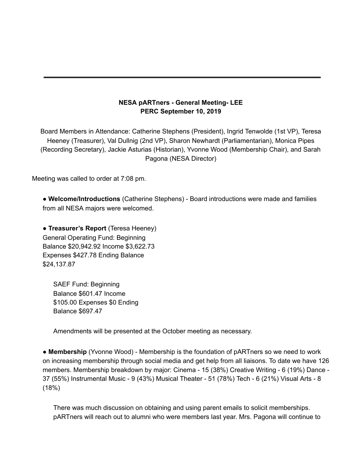#### **NESA pARTners - General Meeting- LEE PERC September 10, 2019**

Board Members in Attendance: Catherine Stephens (President), Ingrid Tenwolde (1st VP), Teresa Heeney (Treasurer), Val Dullnig (2nd VP), Sharon Newhardt (Parliamentarian), Monica Pipes (Recording Secretary), Jackie Asturias (Historian), Yvonne Wood (Membership Chair), and Sarah Pagona (NESA Director)

Meeting was called to order at 7:08 pm.

● **Welcome/Introductions** (Catherine Stephens) - Board introductions were made and families from all NESA majors were welcomed.

● **Treasurer's Report** (Teresa Heeney) General Operating Fund: Beginning Balance \$20,942.92 Income \$3,622.73 Expenses \$427.78 Ending Balance \$24,137.87

SAEF Fund: Beginning Balance \$601.47 Income \$105.00 Expenses \$0 Ending Balance \$697.47

Amendments will be presented at the October meeting as necessary.

● **Membership** (Yvonne Wood) - Membership is the foundation of pARTners so we need to work on increasing membership through social media and get help from all liaisons. To date we have 126 members. Membership breakdown by major: Cinema - 15 (38%) Creative Writing - 6 (19%) Dance - 37 (55%) Instrumental Music - 9 (43%) Musical Theater - 51 (78%) Tech - 6 (21%) Visual Arts - 8 (18%)

There was much discussion on obtaining and using parent emails to solicit memberships. pARTners will reach out to alumni who were members last year. Mrs. Pagona will continue to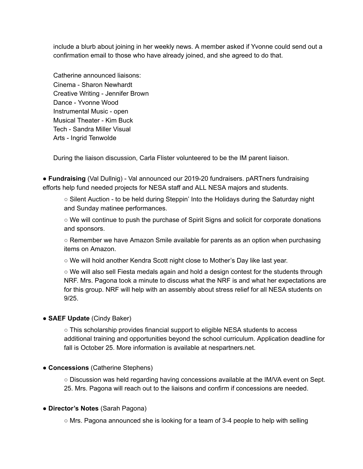include a blurb about joining in her weekly news. A member asked if Yvonne could send out a confirmation email to those who have already joined, and she agreed to do that.

Catherine announced liaisons: Cinema - Sharon Newhardt Creative Writing - Jennifer Brown Dance - Yvonne Wood Instrumental Music - open Musical Theater - Kim Buck Tech - Sandra Miller Visual Arts - Ingrid Tenwolde

During the liaison discussion, Carla Flister volunteered to be the IM parent liaison.

**● Fundraising** (Val Dullnig) - Val announced our 2019-20 fundraisers. pARTners fundraising efforts help fund needed projects for NESA staff and ALL NESA majors and students.

○ Silent Auction - to be held during Steppin' Into the Holidays during the Saturday night and Sunday matinee performances.

○ We will continue to push the purchase of Spirit Signs and solicit for corporate donations and sponsors.

○ Remember we have Amazon Smile available for parents as an option when purchasing items on Amazon.

○ We will hold another Kendra Scott night close to Mother's Day like last year.

○ We will also sell Fiesta medals again and hold a design contest for the students through NRF. Mrs. Pagona took a minute to discuss what the NRF is and what her expectations are for this group. NRF will help with an assembly about stress relief for all NESA students on 9/25.

#### ● **SAEF Update** (Cindy Baker)

○ This scholarship provides financial support to eligible NESA students to access additional training and opportunities beyond the school curriculum. Application deadline for fall is October 25. More information is available at nespartners.net.

**● Concessions** (Catherine Stephens)

○ Discussion was held regarding having concessions available at the IM/VA event on Sept. 25. Mrs. Pagona will reach out to the liaisons and confirm if concessions are needed.

#### ● **Director's Notes** (Sarah Pagona)

 $\circ$  Mrs. Pagona announced she is looking for a team of 3-4 people to help with selling